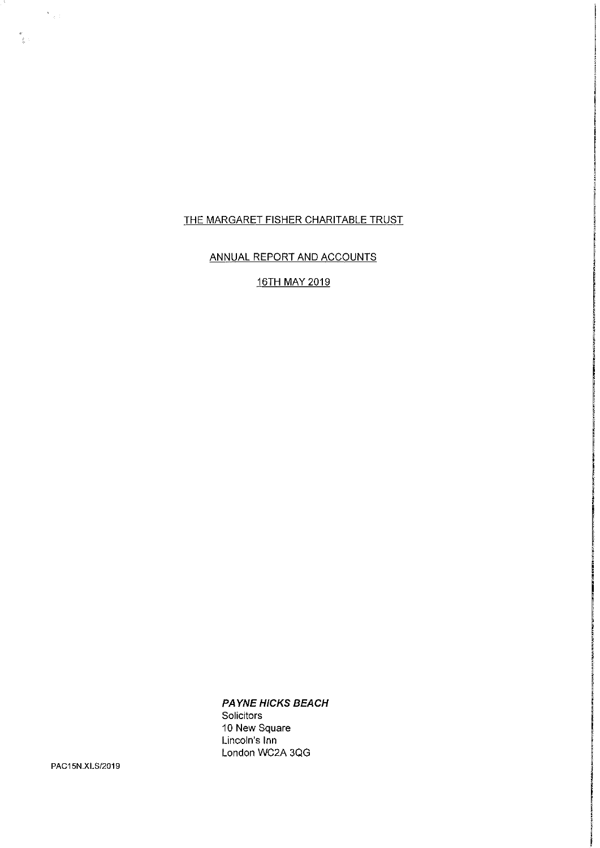ANNUAL REPORT AND ACCOUNTS

16TH MAY 2019

PAYNE HICKS BEACH **Solicitors** 10 New Square Lincoln's Inn London WC2A 3QG

PAC15N. XLS/2019

 $\frac{1}{2} \left( \frac{1}{2} \right)^2$ 

 $\begin{array}{l} \displaystyle \frac{\mathrm{d}^2}{\mathrm{d}^2} & \displaystyle \frac{\mathrm{d}^2}{\mathrm{d}^2} \leq \frac{1}{\mathrm{d}^2} \end{array}$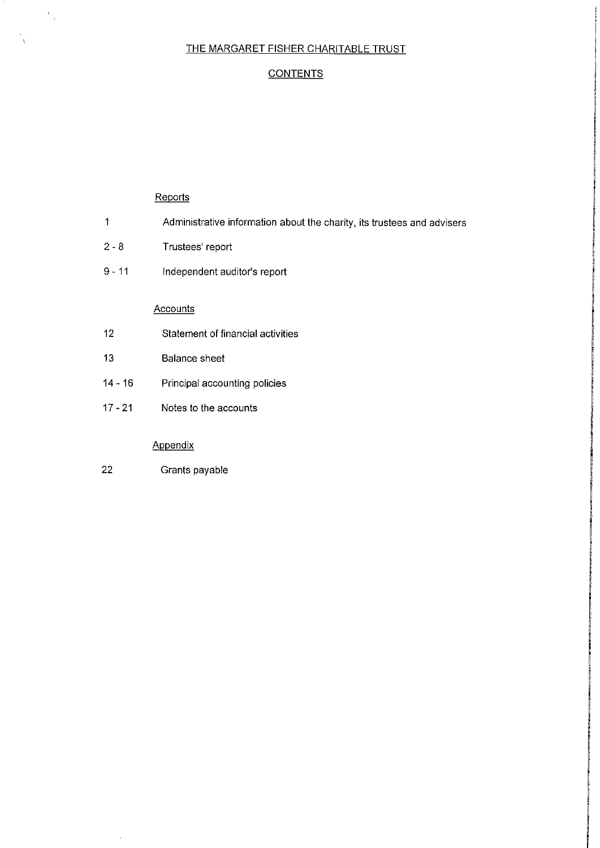# **CONTENTS**

# **Reports**

 $\frac{1}{\sqrt{3}}$ 

 $\frac{1}{3}$ 

- 1 Administrative information about the charity, its trustees and advisers
- 2-8 Trustees' report
- 9-11 Independent auditor's report

# **Accounts**

- 12 Statement of financial activities
- 13 Balance sheet
- 14-16 Principal accounting policies Appendix
- 17-21 Notes to the accounts

Appendix

22 Grants payable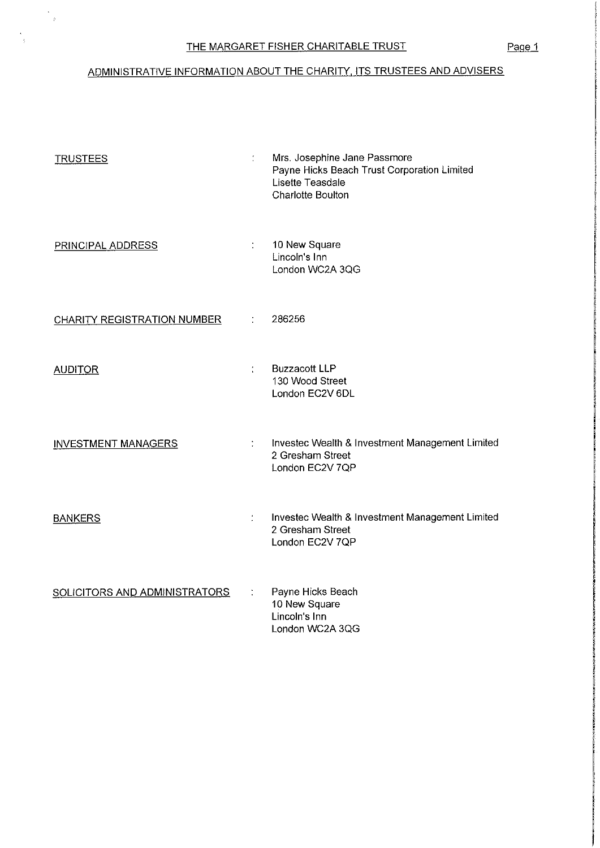$\begin{pmatrix} \mathbf{v} \\ \mathbf{v} \\ \mathbf{v} \end{pmatrix}$ 

 $\mathcal{A}_i$ 

# ADMINISTRATIVE INFORMATION ABOUT THE CHARITY, ITS TRUSTEES AND ADVISERS

| <u>TRUSTEES</u>                    | ÷.              | Mrs. Josephine Jane Passmore<br>Payne Hicks Beach Trust Corporation Limited<br>Lisette Teasdale<br><b>Charlotte Boulton</b> |
|------------------------------------|-----------------|-----------------------------------------------------------------------------------------------------------------------------|
| <b>PRINCIPAL ADDRESS</b>           | ÷               | 10 New Square<br>Lincoln's Inn<br>London WC2A 3QG                                                                           |
| <b>CHARITY REGISTRATION NUMBER</b> | $\mathbb{R}^n$  | 286256                                                                                                                      |
| <b>AUDITOR</b>                     | ÷               | <b>Buzzacott LLP</b><br>130 Wood Street<br>London EC2V 6DL                                                                  |
| <b>INVESTMENT MANAGERS</b>         | $\frac{1}{2}$ . | Investec Wealth & Investment Management Limited<br>2 Gresham Street<br>London EC2V 7QP                                      |
| <b>BANKERS</b>                     | ÷               | Investec Wealth & Investment Management Limited<br>2 Gresham Street<br>London EC2V 7QP                                      |
| SOLICITORS AND ADMINISTRATORS      |                 | Payne Hicks Beach<br>10 New Square<br>Lincoln's Inn<br>London WC2A 3QG                                                      |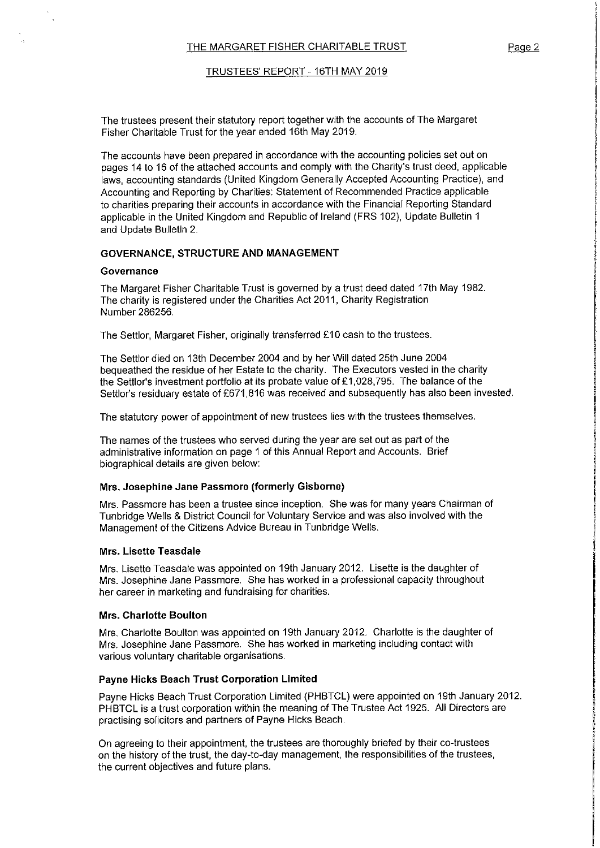#### TRUSTEES' REPORT - 16TH MAY 2019

The trustees present their statutory report together with the accounts of The Margaret Fisher Charitable Trust for the year ended 16th May 2019.

The accounts have been prepared in accordance with the accounting policies set out on pages 14 to 16 of the attached accounts and comply with the Charity's trust deed, applicable laws, accounting standards (United Kingdom Generally Accepted Accounting Practice), and Accounting and Reporting by Charities: Statement of Recommended Practice applicable to charities preparing their accounts in accordance with the Financial Reporting Standard applicable in the United Kingdom and Republic of Ireland (FRS 102), Update Bulletin <sup>1</sup> and Update Bulletin 2.

# GOVERNANCE, STRUCTURE AND MANAGEMENT

#### Governance

The Margaret Fisher Charitable Trust is governed by a trust deed dated 17th May 1982. The charity is registered under the Charities Act 2011, Charity Registration Number 286256.

The Settlor, Margaret Fisher, originally transferred £10 cash to the trustees.

The Settlor died on 13th December 2004 and by her Will dated 25th June 2004 bequeathed the residue of her Estate to the charity. The Executors vested in the charity the Settlor's investment porffolio at its probate value of F1,028,795. The balance of the Settlor's residuary estate of £671,816 was received and subsequently has also been invested.

The statutory power of appointment of new trustees lies with the trustees themselves.

The names of the trustees who served during the year are set out as part of the administrative information on page <sup>1</sup> of this Annual Report and Accounts. Brief biographical details are given below:

#### Mrs. Josephine Jane Passmore (formerly Gisborne)

Mrs. Passmore has been a trustee since inception. She was for many years Chairman of Tunbridge Wells & District Council for Voluntary Service and was also involved with the Management of the Citizens Advice Bureau in Tunbridge Wells.

# Mrs. Lisette Teasdale

Mrs. Lisette Teasdale was appointed on 19th January 2012. Lisette is the daughter of Mrs. Josephine Jane Passmore. She has worked in a professional capacity throughout her career in marketing and fundraising for charities.

# Mrs. Charlotte Boulton

Mrs. Charlotte Boulton was appointed on 19th January 2012. Charlotte is the daughter of Mrs. Josephine Jane Passmore. She has worked in marketing including contact with various voluntary charitable organisations.

#### Payne Hicks Beach Trust Corporation Limited

Payne Hicks Beach Trust Corporation Limited (PHBTCL) were appointed on 19th January 2012. PHBTCL is a trust corporation within the meaning of The Trustee Act 1925. All Directors are practising solicitors and partners of Payne Hicks Beach.

On agreeing to their appointment, the trustees are thoroughly briefed by their co-trustees on the history of the trust, the day-to-day management, the responsibilities of the trustees, the current objectives and future plans.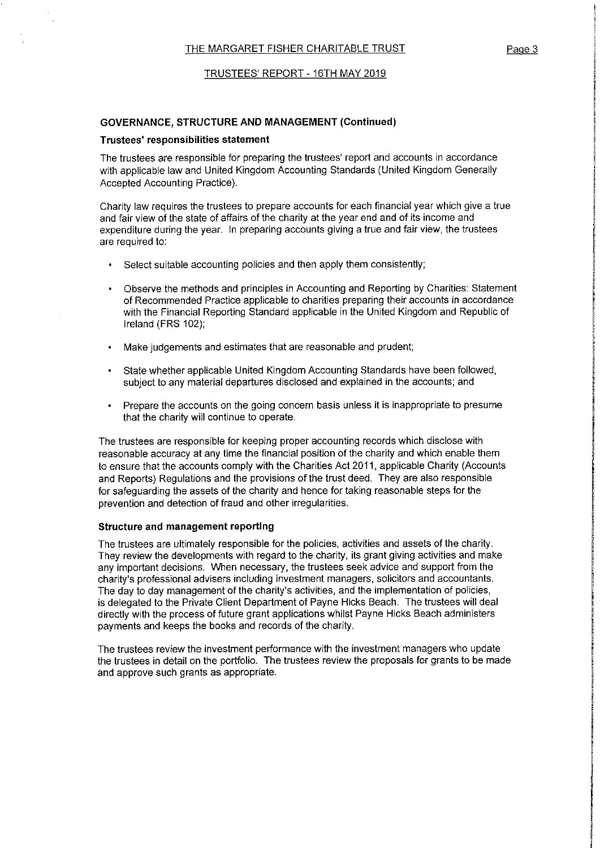## TRUSTEES' REPORT — 16TH MAY 2019

### GOVERNANCE, STRUCTURE AND MANAGEMENT (Continued)

### Trustees' responsibilities statement

The trustees are responsible for preparing the trustees' report and accounts in accordance with applicable law and United Kingdom Accounting Standards (United Kingdom Generally Accepted Accounting Practice).

Charity law requires the trustees to prepare accounts for each financial year which give a true and fair view of the state of affairs of the charity at the year end and of its income and expenditure during the year. In preparing accounts giving a true and fair view, the trustees are required to:

- Select suitable accounting policies and then apply them consistently;
- Observe the methods and principles in Accounting and Reporting by Charities: Statement of Recommended Practice applicable to charities preparing their accounts in accordance with the Financial Reporting Standard applicable in the United Kingdom and Republic of Ireland (FRS 102);
- Make judgements and estimates that are reasonable and prudent;  $\ddot{\phantom{0}}$
- State whether applicable United Kingdom Accounting Standards have been followed, subject to any material departures disclosed and explained in the accounts; and
- Prepare the accounts on the going concern basis unless it is inappropriate to presume that the charity will continue to operate.

The trustees are responsible for keeping proper accounting records which disclose with reasonable accuracy at any time the financial position of the charity and which enable them to ensure that the accounts comply with the Charities Act 2011, applicable Charity (Accounts and Reports) Regulations and the provisions of the trust deed. They are also responsible for safeguarding the assets of the charity and hence for taking reasonable steps for the prevention and detection of fraud and other irregularities.

#### Structure and management reporting

The trustees are ultimately responsible for the policies, activities and assets of the charity. They review the developments with regard to the charity, its grant giving activities and make any important decisions. When necessary, the trustees seek advice and support from the charity's professional advisers including investment managers, solicitors and accountants. The day to day management of the charity's activities, and the implementation of policies, is delegated to the Private Client Department of Payne Hicks Beach. The trustees will deal directly with the process of future grant applications whilst Payne Hicks Beach administers payments and keeps the books and records of the charity.

The trustees review the investment performance with the investment managers who update the trustees in detail on the porffolio. The trustees review the proposals for grants to be made and approve such grants as appropriate.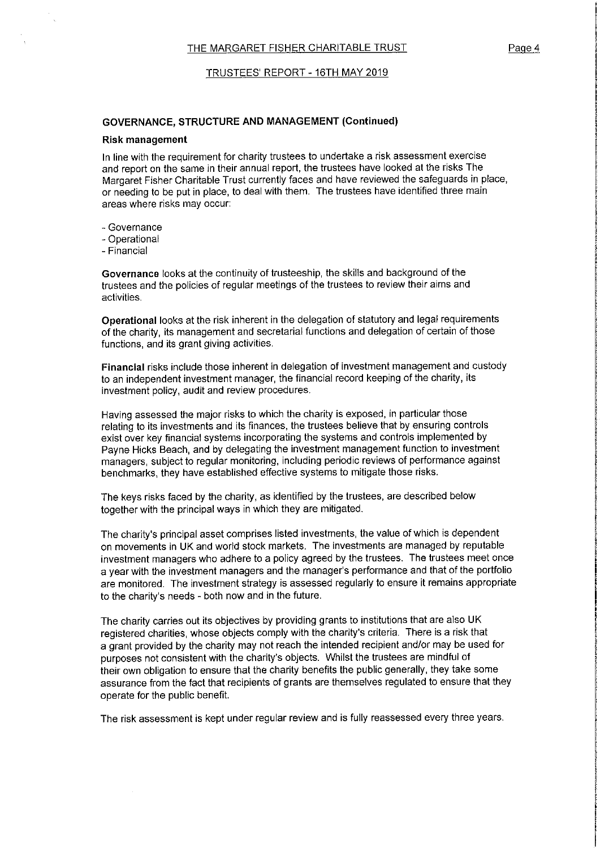#### TRUSTEES' REPORT - 16TH MAY 2019

## GOVERNANCE, STRUCTURE AND MANAGEMENT (Continued)

#### Risk management

In line with the requirement for charity trustees to undertake a risk assessment exercise and report on the same in their annual report, the trustees have looked at the risks The Margaret Fisher Charitable Trust currently faces and have reviewed the safeguards in place, or needing to be put in place, to deal with them. The trustees have identified three main areas where risks may occur:

- Governance
- Operational
- Financial

Governance looks at the continuity of trusteeship, the skills and background of the trustees and the policies of regular meetings of the trustees to review their aims and activities.

Operational looks at the risk inherent in the delegation of statutory and legal requirements of the charity, its management and secretarial functions and delegation of certain of those functions, and its grant giving activities.

Financial risks include those inherent in delegation of investment management and custody to an independent investment manager, the financial record keeping of the charity, its investment policy, audit and review procedures.

Having assessed the major risks to which the charity is exposed, in particular those relating to its investments and its finances, the trustees believe that by ensuring controls exist over key financial systems incorporating the systems and controls implemented by Payne Hicks Beach, and by delegating the investment management function to investment managers, subject to regular monitoring, including periodic reviews of performance against benchmarks, they have established effective systems to mitigate those risks.

The keys risks faced by the charity, as identified by the trustees, are described below together with the principal ways in which they are mitigated.

The charity's principal asset comprises listed investments, the value of which is dependent on movements in UK and world stock markets. The investments are managed by reputable investment managers who adhere to a policy agreed by the trustees. The trustees meet once a year with the investment managers and the manager's performance and that of the portfolio are monitored. The investment strategy is assessed regularly to ensure it remains appropriate to the charity's needs - both now and in the future.

The charity carries out its objectives by providing grants to institutions that are also UK registered charities, whose objects comply with the charity's criteria. There is a risk that a grant provided by the charity may not reach the intended recipient and/or may be used for purposes not consistent with the charity's objects. Whilst the trustees are mindful of their own obligation to ensure that the charity benefits the public generally, they take some assurance from the fact that recipients of grants are themselves regulated to ensure that they operate for the public benefit.

The risk assessment is kept under regular review and is fully reassessed every three years.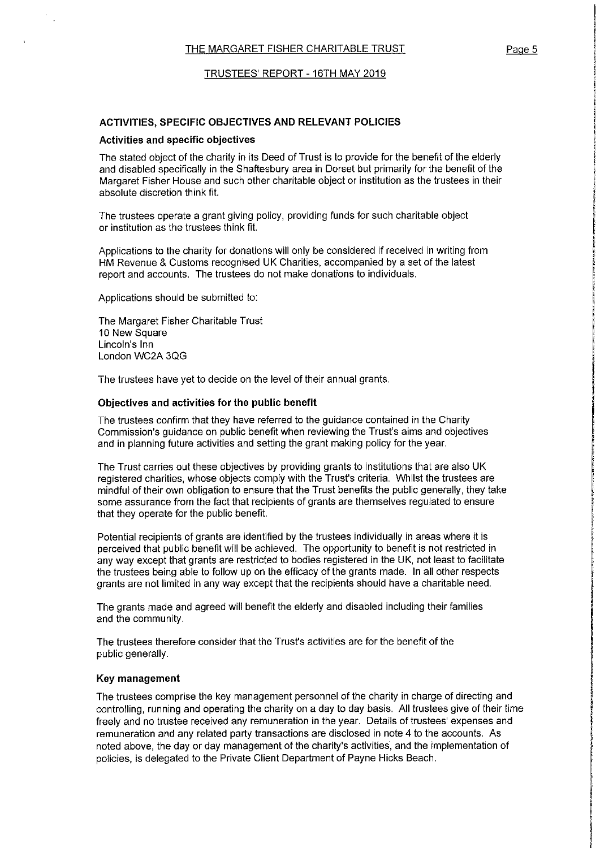#### TRUSTEES' REPORT — 16TH MAY 2019

## ACTIVITIES, SPECIFIC OBJECTIVES AND RELEVANT POLICIES

### Activities and specific objectives

The stated object of the charity in its Deed of Trust is to provide for the benefit of the elderly and disabled specifically in the Shaftesbury area in Dorset but primarily for the benefit of the Margaret Fisher House and such other charitable object or institution as the trustees in their absolute discretion think fit.

The trustees operate a grant giving policy, providing funds for such charitable object or institution as the trustees think fit.

Applications to the charity for donations will only be considered if received in writing from HM Revenue & Customs recognised UK Charities, accompanied by a set of the latest report and accounts. The trustees do not make donations to individuals.

Applications should be submitted to:

The Margaret Fisher Charitable Trust 10 New Square Lincoln's Inn London WC2A 3QG

The trustees have yet to decide on the level of their annual grants.

# Objectives and activities for the public benefit

The trustees confirm that they have referred to the guidance contained in the Charity Commission's guidance on public benefit when reviewing the Trust's aims and objectives and in planning future activities and setting the grant making policy for the year.

The Trust carries out these objectives by providing grants to institutions that are also UK registered charities, whose objects comply with the Trust's criteria. Whilst the trustees are mindful of their own obligation to ensure that the Trust benefits the public generally, they take some assurance from the fact that recipients of grants are themselves regulated to ensure that they operate for the public benefit.

Potential recipients of grants are identified by the trustees individually in areas where it is perceived that public benefit will be achieved. The opportunity to benefit is not restricted in any way except that grants are restricted to bodies registered in the UK, not least to facilitate the trustees being able to follow up on the efficacy of the grants made. In all other respects grants are not limited in any way except that the recipients should have a charitable need.

The grants made and agreed will benefit the elderly and disabled including their families and the community.

The trustees therefore consider that the Trust's activities are for the benefit of the public generally.

#### Key management

The trustees comprise the key management personnel of the charity in charge of directing and controlling, running and operating the charity on a day to day basis. All trustees give of their time freely and no trustee received any remuneration in the year. Details of trustees' expenses and remuneration and any related party transactions are disclosed in note 4 to the accounts. As noted above, the day or day management of the charity's activities, and the implementation of policies, is delegated to the Private Client Department of Payne Hicks Beach.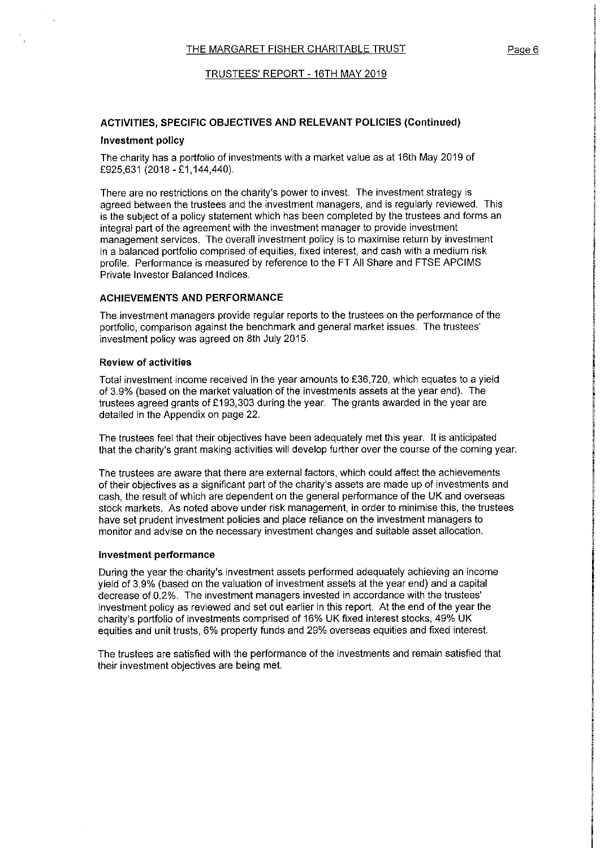# ACTIVITIES, SPECIFIC OBJECTIVES AND RELEVANT POLICIES (Continued)

## Investment policy

The charity has a portfolio of investments with a market value as at 16th May 2019 of £925,631 (2018 - £1,144,440).

There are no restrictions on the charity's power to invest. The investment strategy is agreed between the trustees and the investment managers, and is regularly reviewed. This is the subject of a policy statement which has been completed by the trustees and forms an integral part of the agreement with the investment manager to provide investment management services. The overall investment policy is to maximise return by investment in a balanced portfolio comprised of equities, fixed interest, and cash with a medium risk profile. Performance is measured by reference to the FT All Share and FTSE APCIMS Private Investor Balanced Indices.

## ACHIEVEMENTS AND PERFORMANCE

The investment managers provide regular reports to the trustees on the performance of the porffolio, comparison against the benchmark and general market issues. The trustees' investment policy was agreed on 8th July 2015.

#### Review of activities

Total investment income received in the year amounts to F36,720, which equates to a yield of 3.9% (based on the market valuation of the investments assets at the year end). The trustees agreed grants of £193,303 during the year. The grants awarded in the year are detailed in the Appendix on page 22.

The trustees feel that their objectives have been adequately met this year. It is anticipated that the charity's grant making activities will develop further over the course of the coming year.

The trustees are aware that there are external factors, which could affect the achievements of their objectives as a significant part of the charity's assets are made up of investments and cash, the result of which are dependent on the general performance of the UK and overseas stock markets. As noted above under risk management, in order to minimise this, the trustees have set prudent investment policies and place reliance on the investment managers to monitor and advise on the necessary investment changes and suitable asset allocation.

#### Investment performance

During the year the charity's investment assets performed adequately achieving an income yield of 3.9% (based on the valuation of investment assets at the year end) and a capital decrease of 0.2%. The investment managers invested in accordance with the trustees' investment policy as reviewed and set out earlier in this report. At the end of the year the charity's portfolio of investments comprised of 16% UK fixed interest stocks, 49% UK equities and unit trusts, 6% property funds and 29% overseas equities and fixed interest.

The trustees are satisfied with the performance of the investments and remain satisfied that their investment objectives are being met.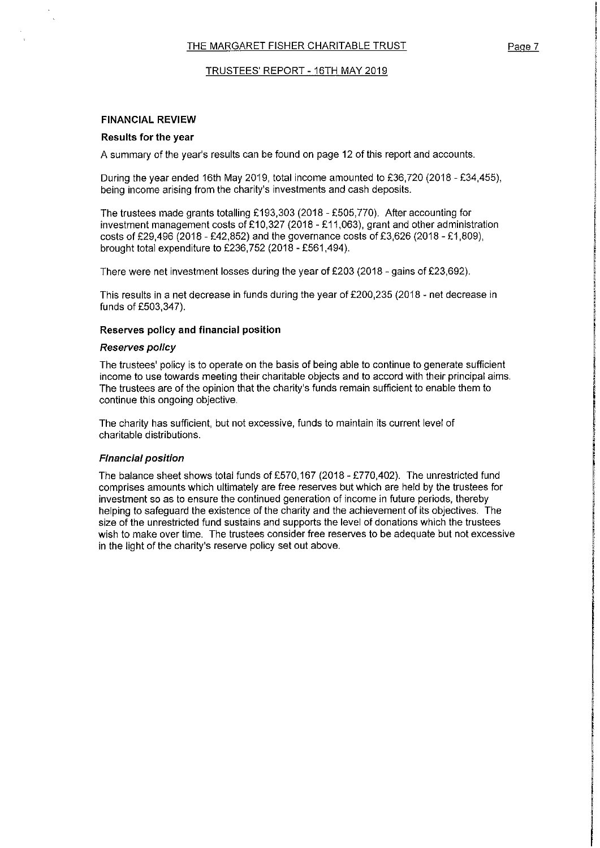## TRUSTEES' REPORT - 16TH MAY 2019

#### FINANCIAL REVIEW

## Results for the year

A summary of the year's results can be found on page 12 of this report and accounts.

During the year ended 16th May 2019, total income amounted to  $£36,720$  (2018 - £34,455), being income arising from the charity's investments and cash deposits.

The trustees made grants totalling £193,303 (2018 - £505,770). After accounting for investment management costs of £10,327 (2018 - £11,063), grant and other administration costs of £29,496 (2018 - £42,852) and the governance costs of £3,626 (2018 - £1,809), brought total expenditure to £236,752 (2018 - £561,494).

There were net investment losses during the year of £203 (2018 - gains of £23,692).

This results in a net decrease in funds during the year of £200,235 (2018 - net decrease in funds of £503,347).

# Reserves policy and financial position

#### Reserves policy

The trustees' policy is to operate on the basis of being able to continue to generate sufficient income to use towards meeting their charitable objects and to accord with their principal aims. The trustees are of the opinion that the charity's funds remain sufficient to enable them to continue this ongoing objective.

The charity has sufficient, but not excessive, funds to maintain its current level of charitable distributions.

# Financial position

The balance sheet shows total funds of F570, 167 (2018 - F770,402). The unrestricted fund comprises amounts which ultimately are free reserves but which are held by the trustees for investment so as to ensure the continued generation of income in future periods, thereby helping to safeguard the existence of the charity and the achievement of its objectives. The size of the unrestricted fund sustains and supports the level of donations which the trustees wish to make over time. The trustees consider free reserves to be adequate but not excessive in the light of the charity's reserve policy set out above.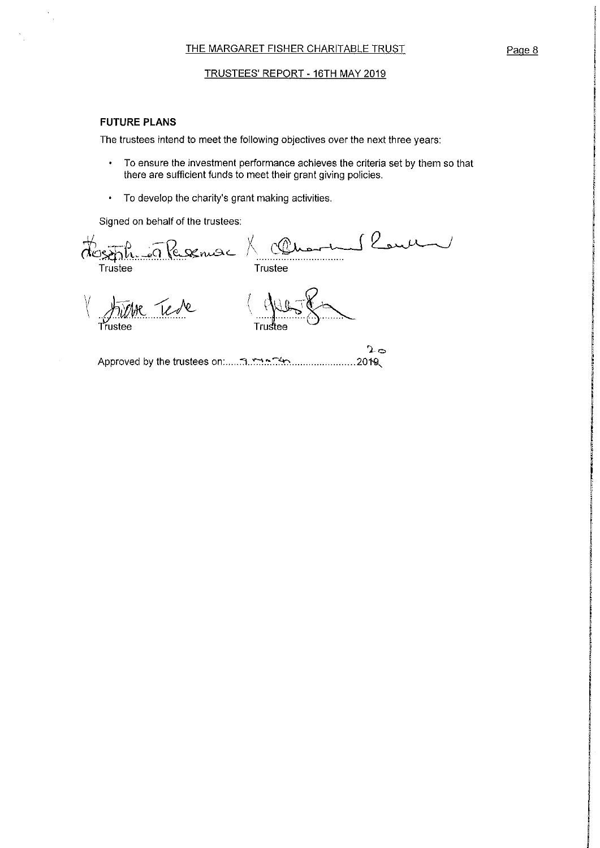## TRUSTEES' REPORT - 16TH MAY 2019

# FUTURE PLANS

 $\frac{\partial}{\partial t} \frac{\partial}{\partial t}$ 

The trustees intend to meet the following objectives over the next three years:

- $\bullet$ To ensure the investment performance achieves the criteria set by them so that there are sufficient funds to meet their grant giving policies.
- To develop the charity's grant making activities.

Signed on behalf of the trustees

Signed on behalf of the trustees:<br> $\pi$ Cosaphic =  $\pi$  (Cosaphic =  $\pi$  cQuartial Trustee Trustee dre Tede rustee

Approved by the trustees on:.. . I,~; ~, . ....201g $2 - 1$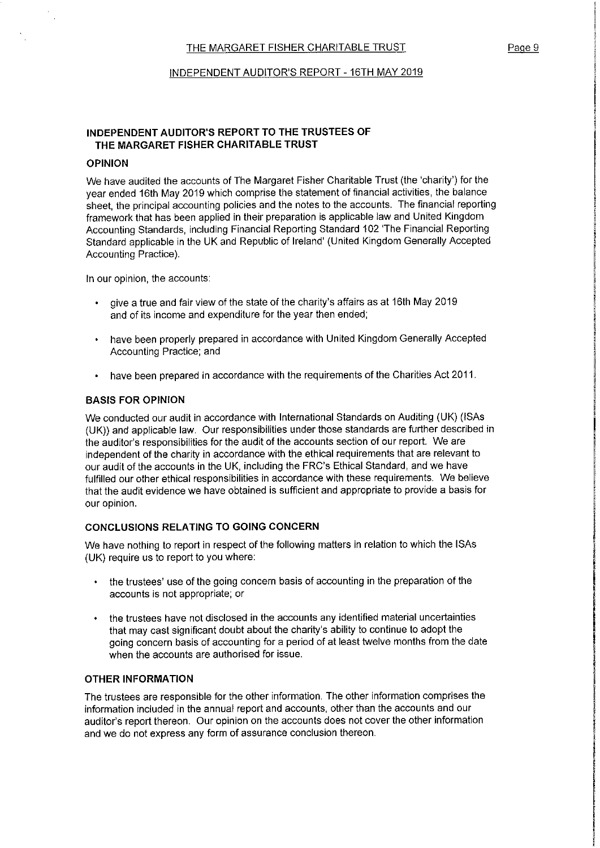#### INDEPENDENT AUDITOR'S REPORT — 16TH MAY 2019

# INDEPENDENT AUDITOR'S REPORT TO THE TRUSTEES OF THE MARGARET FISHER CHARITABLE TRUST

# OPINION

We have audited the accounts of The Margaret Fisher Charitable Trust (the 'charity') for the year ended 16th May 2019 which comprise the statement of financial activities, the balance sheet, the principal accounting policies and the notes to the accounts. The financial reporting framework that has been applied in their preparation is applicable law and United Kingdom Accounting Standards, including Financial Reporting Standard 102 'The Financial Reporting Standard applicable in the UK and Republic of Ireland' (United Kingdom Generally Accepted Accounting Practice).

In our opinion, the accounts;

- give a true and fair view of the state of the charity's affairs as at 16th May 2019 and of its income and expenditure for the year then ended;
- have been properly prepared in accordance with United Kingdom Generally Accepted Accounting Practice; and
- have been prepared in accordance with the requirements of the Charities Act 2011.

#### BASIS FOR OPINION

We conducted our audit in accordance with International Standards on Auditing (UK) (ISAs (UK)) and applicable law. Our responsibilities under those standards are further described in the auditor's responsibilities for the audit of the accounts section of our report. We are independent of the charity in accordance with the ethical requirements that are relevant to our audit of the accounts in the UK, including the FRC's Ethical Standard, and we have fulfilled our other ethical responsibilities in accordance with these requirements. We believe that the audit evidence we have obtained is sufficient and appropriate to provide a basis for our opinion.

# CONCLUSIONS RELATING TO GOING CONCERN

We have nothing to report in respect of the following matters in relation to which the ISAs (UK) require us to report to you where:

- the trustees' use of the going concern basis of accounting in the preparation of the accounts is not appropriate; or
- the trustees have not disclosed in the accounts any identified material uncertainties that may cast significant doubt about the charity's ability to continue to adopt the going concern basis of accounting for a period of at least twelve months from the date when the accounts are authorised for issue.

#### OTHER INFORMATION

The trustees are responsible for the other information. The other information comprises the information included in the annual report and accounts, other than the accounts and our auditor's report thereon. Our opinion on the accounts does not cover the other information and we do not express any form of assurance conclusion thereon.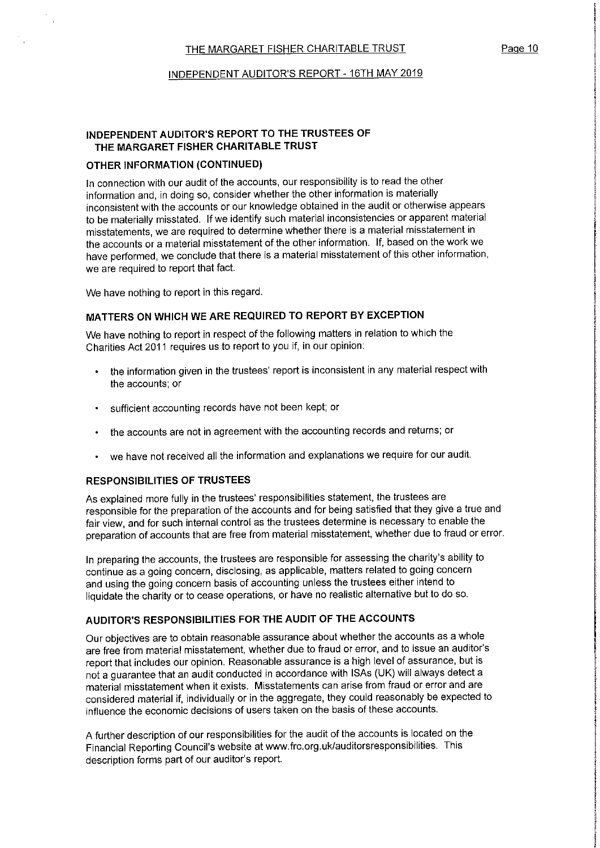## INDEPENDENT AUDITOR'S REPORT — 16TH MAY 2019

# INDEPENDENT AUDITOR'S REPORT TO THE TRUSTEES OF THE MARGARET FISHER CHARITABLE TRUST

## OTHER INFORMATION (CONTINUED)

In connection with our audit of the accounts, our responsibility is to read the other information and, in doing so, consider whether the other information is materially inconsistent with the accounts or our knowledge obtained in the audit or otherwise appears to be materially misstated. If we identify such material inconsistencies or apparent material misstatements, we are required to determine whether there is a material misstatement in the accounts or a material misstatement of the other information. If, based on the work we have performed, we conclude that there is a material misstatement of this other information, we are required to report that fact.

We have nothing to report in this regard.

# MATTERS ON WHICH WE ARE REQUIRED TO REPORT BY EXCEPTION

We have nothing to report in respect of the following matters in relation to which the Charities Act 2011 requires us to report to you if, in our opinion;

- the information given in the trustees' report is inconsistent in any material respect with the accounts; or
- sufficient accounting records have not been kept; or
- the accounts are not in agreement with the accounting records and returns; or
- we have not received all the information and explanations we require for our audit.

# RESPONSIBILITIES OF TRUSTEES

As explained more fully in the trustees' responsibilities statement, the trustees are responsible for the preparation of the accounts and for being satisfied that they give a true and fair view, and for such internal control as the trustees determine is necessary to enable the preparation of accounts that are free from material misstatement, whether due to fraud or error.

In preparing the accounts, the trustees are responsible for assessing the charity's ability to continue as a going concern, disclosing, as applicable, matters related to going concern and using the going concern basis of accounting unless the trustees either intend to liquidate the charity or to cease operations, or have no realistic alternative but to do so.

# AUDITOR'S RESPONSIBILITIES FOR THE AUDIT OF THE ACCOUNTS

Our objectives are to obtain reasonable assurance about whether the accounts as a whole are free from material misstatement, whether due to fraud or error, and to issue an auditor's report that includes our opinion. Reasonable assurance is a high level of assurance, but is not a guarantee that an audit conducted in accordance with ISAs (UK) will always detect a material misstatement when it exists. Misstatements can arise from fraud or error and are considered material if, individually or in the aggregate, they could reasonably be expected to influence the economic decisions of users taken on the basis of these accounts.

A further description of our responsibilities for the audit of the accounts is located on the Financial Reporting Council's website at www. frc.org. uk/auditorsresponsibilities, This description forms part of our auditor's report.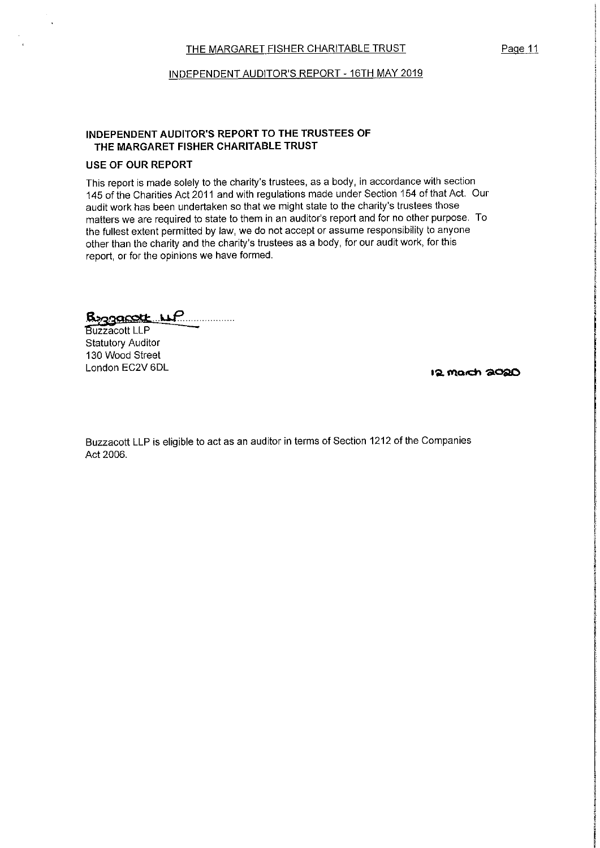# INDEPENDENT AUDITOR'S REPORT TO THE TRUSTEES OF THE MARGARET FISHER CHARITABLE TRUST

## USE OF OUR REPORT

This report is made solely to the charity's trustees, as a body, in accordance with section 145 of the Charities Act 2011 and with regulations made under Section 154 of that Act. Our audit work has been undertaken so that we might state to the charity's trustees those matters we are required to state to them in an auditor's report and for no other purpose. To the fullest extent permitted by law, we do not accept or assume responsibility to anyone other than the charity and the charity's trustees as a body, for our audit work, for this report, or for the opinions we have formed.

Byzgarott NP

Buzzacott LLP Statutory Auditor 130 Wood Street London EC2V 6DL

12 March 2020

Buzzacott LLP is eligible to act as an auditor in terms of Section 1212 of the Companies Act 2006.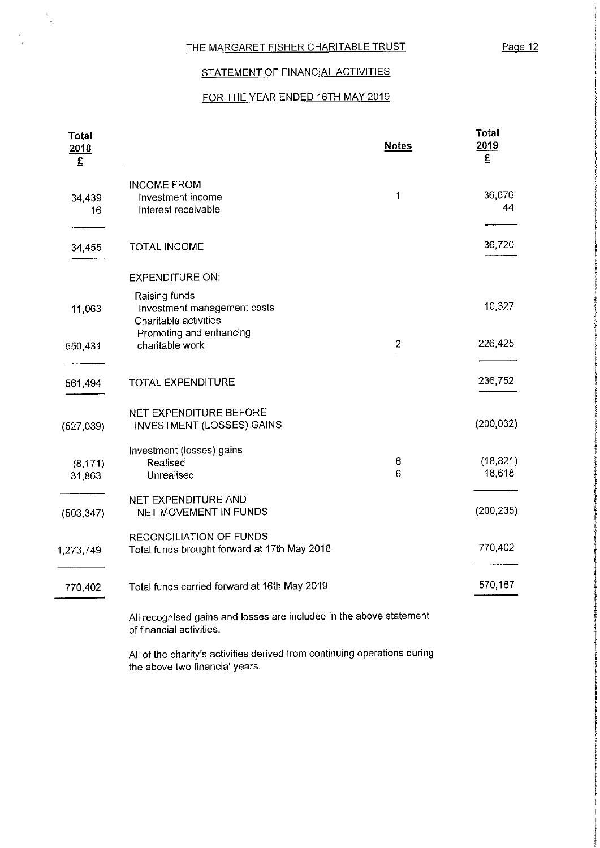$\frac{1}{\sqrt{2}}$ 

Page 12

# STATEMENT OF FINANCIAL ACTIVITIES

# FOR THE YEAR ENDED 16TH MAY 2019

| <b>Total</b><br>2018<br>£ |                                                                                                 | <b>Notes</b>   | <b>Total</b><br>2019<br>£ |
|---------------------------|-------------------------------------------------------------------------------------------------|----------------|---------------------------|
| 34,439<br>16              | <b>INCOME FROM</b><br>Investment income<br>Interest receivable                                  | 1              | 36,676<br>44              |
| 34,455                    | <b>TOTAL INCOME</b>                                                                             |                | 36,720                    |
|                           | <b>EXPENDITURE ON:</b>                                                                          |                |                           |
| 11,063                    | Raising funds<br>Investment management costs<br>Charitable activities                           |                | 10,327                    |
| 550,431                   | Promoting and enhancing<br>charitable work                                                      | $\overline{c}$ | 226,425                   |
| 561,494                   | <b>TOTAL EXPENDITURE</b>                                                                        |                | 236,752                   |
| (527,039)                 | NET EXPENDITURE BEFORE<br><b>INVESTMENT (LOSSES) GAINS</b>                                      |                | (200, 032)                |
| (8, 171)<br>31,863        | Investment (losses) gains<br>Realised<br>Unrealised                                             | 6<br>6         | (18, 821)<br>18,618       |
| (503, 347)                | NET EXPENDITURE AND<br>NET MOVEMENT IN FUNDS                                                    |                | (200, 235)                |
| 1,273,749                 | <b>RECONCILIATION OF FUNDS</b><br>Total funds brought forward at 17th May 2018                  |                | 770,402                   |
| 770,402                   | Total funds carried forward at 16th May 2019                                                    |                | 570,167                   |
|                           | All recognised gains and losses are included in the above statement<br>of financial activities. |                |                           |

All of the charity's activities derived from continuing operations during the above two financial years.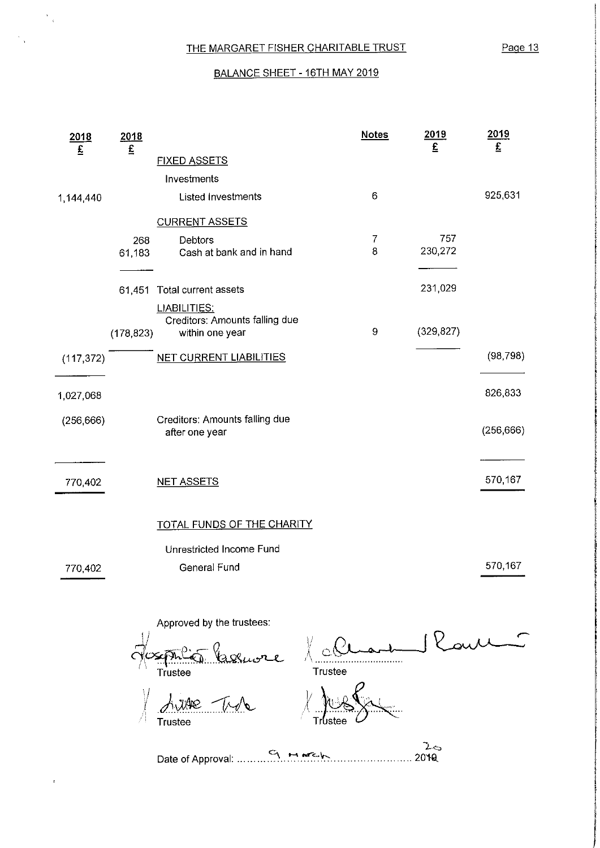$\frac{N}{\sqrt{2}}$ 

ä

 $\frac{1}{\sqrt{2}}$ 

Page 13

# BALANCE SHEET - 16TH MAY 2019

| 2018       | $\frac{2018}{E}$ |                                                                          | <b>Notes</b> | 2019<br>$\overline{\mathbf{f}}$ | 2019<br>£  |
|------------|------------------|--------------------------------------------------------------------------|--------------|---------------------------------|------------|
| £          |                  | <b>FIXED ASSETS</b>                                                      |              |                                 |            |
|            |                  | Investments                                                              |              |                                 |            |
| 1 144 440  |                  | <b>Listed Investments</b>                                                | 6            |                                 | 925,631    |
|            |                  | <b>CURRENT ASSETS</b>                                                    |              |                                 |            |
|            | 268<br>61,183    | Debtors<br>Cash at bank and in hand                                      | 7<br>8       | 757<br>230,272                  |            |
|            | 61,451           | Total current assets                                                     |              | 231,029                         |            |
|            | (178, 823)       | <b>LIABILITIES:</b><br>Creditors: Amounts falling due<br>within one year | 9            | (329, 827)                      |            |
| (117, 372) |                  | <b>NET CURRENT LIABILITIES</b>                                           |              |                                 | (98, 798)  |
| 1,027,068  |                  |                                                                          |              |                                 | 826,833    |
| (256, 666) |                  | Creditors: Amounts falling due<br>after one year                         |              |                                 | (256, 666) |
| 770,402    |                  | <b>NET ASSETS</b>                                                        |              |                                 | 570,167    |
|            |                  | TOTAL FUNDS OF THE CHARITY                                               |              |                                 |            |
|            |                  | Unrestricted Income Fund                                                 |              |                                 |            |
| 770,402    |                  | General Fund                                                             |              |                                 | 570,167    |

Approved by the trustees: Approved by the trustees:<br>  $\frac{1}{2\sqrt{2\pi}}\int_{\frac{1}{2\pi}}\int_{\frac{1}{2\pi}}\int_{\frac{1}{2\pi}}\int_{\frac{1}{2\pi}}\int_{\frac{1}{2\pi}}\int_{\frac{1}{2\pi}}\int_{\frac{1}{2\pi}}\int_{\frac{1}{2\pi}}\int_{\frac{1}{2\pi}}\int_{\frac{1}{2\pi}}\int_{\frac{1}{2\pi}}\int_{\frac{1}{2\pi}}\int_{\frac{1}{2\pi}}\int_{\frac{1}{2\pi}}\int_{\frac{1}{2\pi}}\$ Rami . . . . . . **Trustee** Trustee  $2<sub>0</sub>$ Date of Approval: . 20'%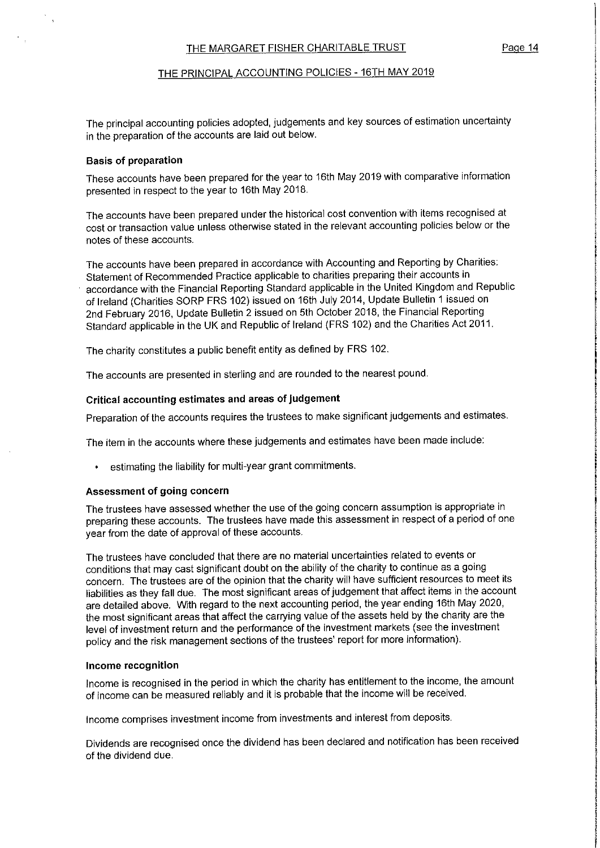The principal accounting policies adopted, judgements and key sources of estimation uncertainty in the preparation of the accounts are laid out below.

# Basis of preparation

These accounts have been prepared for the year to 16th May 2019 with comparative information presented in respect to the year to 16th May 2018.

The accounts have been prepared under the historical cost convention with items recognised at cost or transaction value unless otherwise stated in the relevant accounting policies below or the notes of these accounts.

The accounts have been prepared in accordance with Accounting and Reporting by Charities: Statement of Recommended Practice applicable to charities preparing their accounts in accordance with the Financial Reporting Standard applicable in the United Kingdom and Republic of Ireland (Charities SORP FRS 102) issued on 16th July 2014, Update Bulletin <sup>1</sup> issued on 2nd February 2016, Update Bulletin 2 issued on 5th October 2018, the Financial Reporting Standard applicable in the UK and Republic of Ireland (FRS 102) and the Charities Act 2011.

The charity constitutes a public benefit entity as defined by FRS 102.

The accounts are presented in sterling and are rounded to the nearest pound.

## Critical accounting estimates and areas of judgement

Preparation of the accounts requires the trustees to make significant judgements and estimates.

The item in the accounts where these judgements and estimates have been made include;

estimating the liability for multi-year grant commitments.

# Assessment of going concern

The trustees have assessed whether the use of the going concern assumption is appropriate in preparing these accounts. The trustees have made this assessment in respect of a period of one year from the date of approval of these accounts.

The trustees have concluded that there are no material uncertainties related to events or conditions that may cast significant doubt on the ability of the charity to continue as a going concern. The trustees are of the opinion that the charity will have sufficient resources to meet its liabilities as they fall due. The most significant areas of judgement that affect items in the account are detailed above. With regard to the next accounting period, the year ending 16th May 2020, the most significant areas that affect the carrying value of the assets held by the charity are the level of investment return and the performance of the investment markets (see the investment policy and the risk management sections of the trustees' report for more information).

#### Income recognitlon

Income is recognised in the period in which the charity has entitlement to the income, the amount of income can be measured reliably and it is probable that the income will be received.

Income comprises investment income from investments and interest from deposits.

Dividends are recognised once the dividend has been declared and notification has been received of the dividend due.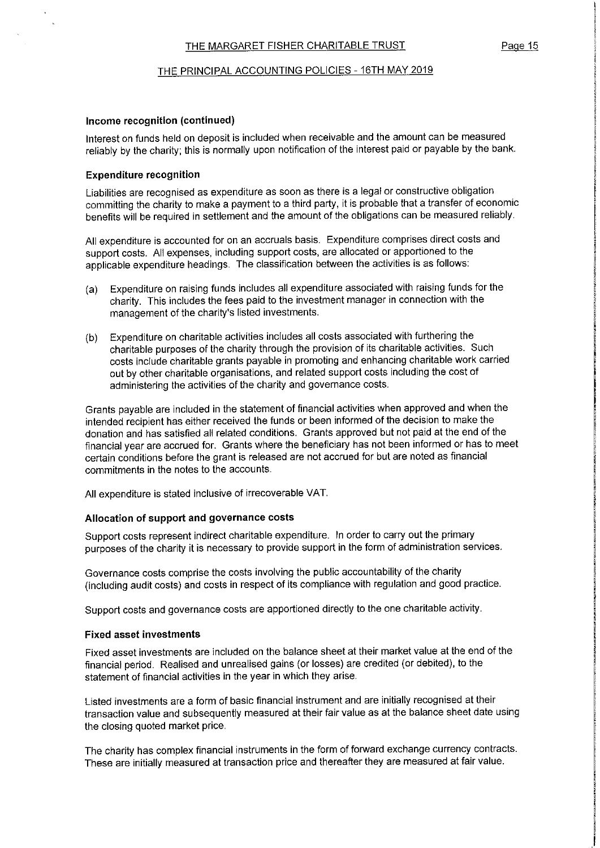#### THE PRINCIPAL ACCOUNTING POLICIES - 16TH MAY 2019

# Income recognitlon (continued)

Interest on funds held on deposit is included when receivable and the amount can be measured reliably by the charity; this is normally upon notification of the interest paid or payable by the bank.

## Expenditure recognition

Liabilities are recognised as expenditure as soon as there is a legal or constructive obligation committing the charity to make a payment to a third party, it is probable that a transfer of economic benefits will be required in settlement and the amount of the obligations can be measured reliably.

All expenditure is accounted for on an accruals basis. Expenditure comprises direct costs and support costs. All expenses, including support costs, are allocated or apportioned to the applicable expenditure headings. The classification between the activities is as follows:

- (a) Expenditure on raising funds includes all expenditure associated with raising funds for the charity. This includes the fees paid to the investment manager in connection with the management of the charity's listed investments.
- (b) Expenditure on charitable activities includes all costs associated with furthering the charitable purposes of the charity through the provision of its charitable activities. Such costs include charitable grants payable in promoting and enhancing charitable work carried out by other charitable organisations, and related support costs including the cost of administering the activities of the charity and governance costs.

Grants payable are included in the statement of financial activities when approved and when the intended recipient has either received the funds or been informed of the decision to make the donation and has satisfied all related conditions. Grants approved but not paid at the end of the financial year are accrued for. Grants where the beneficiary has not been informed or has to meet certain conditions before the grant is released are not accrued for but are noted as financial commitments in the notes to the accounts.

All expenditure is stated inclusive of irrecoverable VAT.

#### Allocation of support and governance costs

Support costs represent indirect charitable expenditure. In order to carry out the primary purposes of the charity it is necessary to provide support in the form of administration services.

Governance costs comprise the costs involving the public accountability of the charity (including audit costs) and costs in respect of its compliance with regulation and good practice.

Support costs and governance costs are apportioned directly to the one charitable activity.

#### Fixed asset investments

Fixed asset investments are included on the balance sheet at their market value at the end of the financial period. Realised and unrealised gains (or losses) are credited (or debited), to the statement of financial activities in the year in which they arise.

Listed investments are a form of basic financial instrument and are initially recognised at their transaction value and subsequently measured at their fair value as at the balance sheet date using the closing quoted market price.

The charity has complex financial instruments in the form of forward exchange currency contracts. These are initially measured at transaction price and thereafter they are measured at fair value.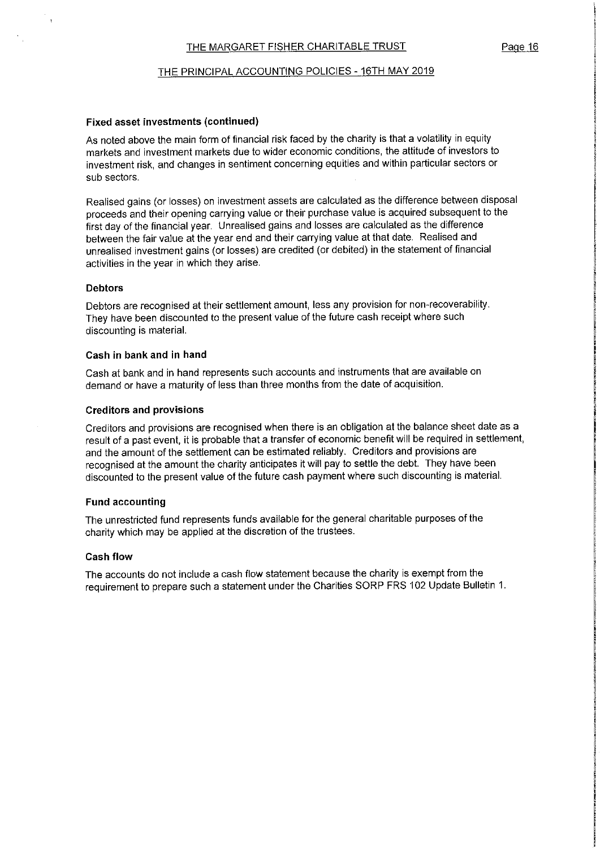# THE PRINCIPAL ACCOUNTING POLICIES - 16TH MAY 2019

# Fixed asset investments (continued)

As noted above the main form of financial risk faced by the charity is that a volatility in equity markets and investment markets due to wider economic conditions, the attitude of investors to investment risk, and changes in sentiment concerning equities and within particular sectors or sub sectors.

Realised gains (or losses) on investment assets are calculated as the difference between disposal proceeds and their opening carrying value or their purchase value is acquired subsequent to the first day of the financial year. Unrealised gains and losses are calculated as the difference between the fair value at the year end and their carrying value at that date. Realised and unrealised investment gains (or losses) are credited (or debited) in the statement of financial activities in the year in which they arise.

#### Debtors

Debtors are recognised at their settlement amount, less any provision for non-recoverability. They have been discounted to the present value of the future cash receipt where such discounting is material.

#### Cash in bank and in hand

Cash at bank and in hand represents such accounts and instruments that are available on demand or have a maturity of less than three months from the date of acquisition.

#### Creditors and provisions

Creditors and provisions are recognised when there is an obligation at the balance sheet date as a result of a past event, it is probable that a transfer of economic benefit will be required in settlement, and the amount of the settlement can be estimated reliably. Creditors and provisions are recognised at the amount the charity anticipates it will pay to settle the debt. They have been discounted to the present value of the future cash payment where such discounting is material.

# Fund accounting

The unrestricted fund represents funds available for the general charitable purposes of the charity which may be applied at the discretion of the trustees.

# Cash flow

The accounts do not include a cash flow statement because the charity is exempt from the requirement to prepare such a statement under the Charities SORP FRS 102 Update Bulletin 1.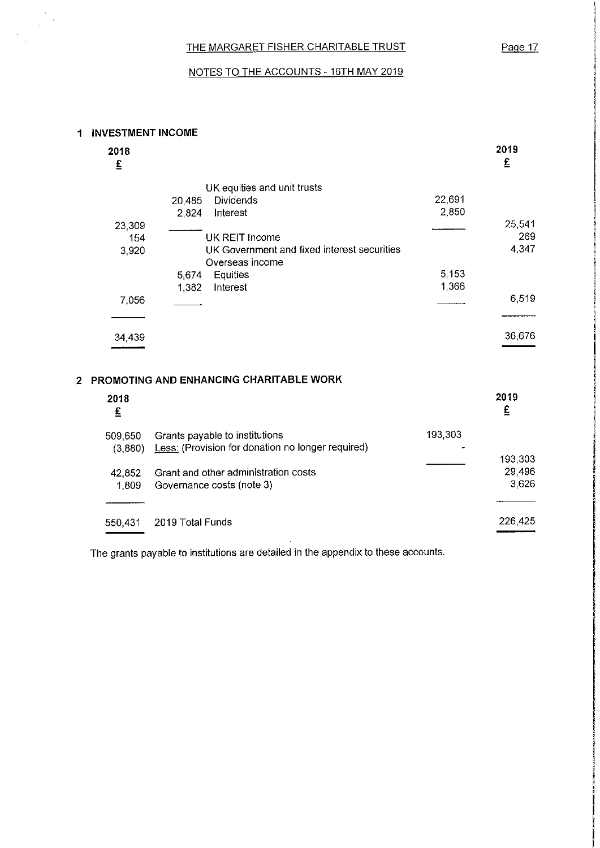# NOTES TO THE ACCOUNTS - 16TH MAY 2019

# 1 INVESTMENT INCOME

 $\label{eq:2.1} \begin{array}{c} \mathcal{S}_{\mathcal{S}_{\mathcal{S}_{\mathcal{S}}}} \\ \mathcal{S}_{\mathcal{S}_{\mathcal{S}_{\mathcal{S}}}} \\ \mathcal{S}_{\mathcal{S}_{\mathcal{S}_{\mathcal{S}}}} \end{array}$ 

 $\label{eq:2} \frac{1}{\sqrt{2}}\int_{\mathbb{R}^2} \frac{1}{\sqrt{2}}\,d\mu$ 

| 2018<br>£ |                                                                |        | 2019<br>£ |
|-----------|----------------------------------------------------------------|--------|-----------|
|           | UK equities and unit trusts                                    |        |           |
|           | <b>Dividends</b><br>20,485                                     | 22,691 |           |
|           | Interest<br>2,824                                              | 2,850  |           |
| 23,309    |                                                                |        | 25 541    |
| 154       | <b>UK REIT Income</b>                                          |        | 269       |
| 3.920     | UK Government and fixed interest securities<br>Overseas income |        | 4 3 4 7   |
|           | Equities<br>5,674                                              | 5,153  |           |
|           | 1,382<br>Interest                                              | 1,366  |           |
| 7,056     |                                                                |        | 6,519     |
|           |                                                                |        |           |
| 34 439    |                                                                |        | 36,676    |

# 2 PRC

| 2018<br>£ |                                                   |         | 2019<br>£ |
|-----------|---------------------------------------------------|---------|-----------|
| 509,650   | Grants payable to institutions                    | 193,303 |           |
| (3,880)   | Less: (Provision for donation no longer required) |         |           |
|           |                                                   |         | 193,303   |
| 42,852    | Grant and other administration costs              |         | 29 4 9 6  |
| 1,809     | Governance costs (note 3)                         |         | 3,626     |
|           |                                                   |         |           |
| 550,431   | 2019 Total Funds                                  |         | 226,425   |

The grants payable to institutions are detailed in the appendix to these accounts.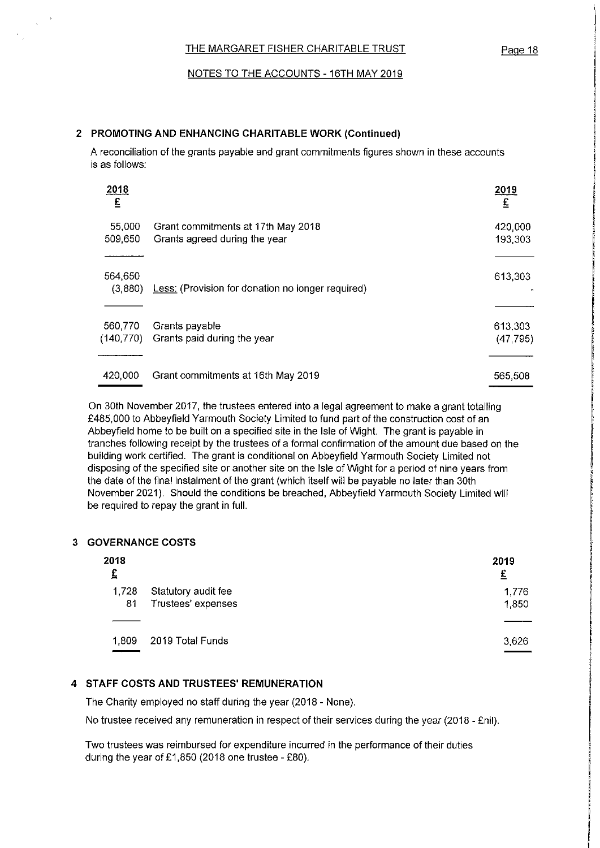# NOTES TO THE ACCOUNTS - 16TH MAY 2019

# 2 PROMOTING AND ENHANCING CHARITABLE WORK (Continued)

A reconciliation of the grants payable and grant commitments figures shown in these accounts is as follows:

| 2018<br>E             |                                                                     | 2019<br>£            |
|-----------------------|---------------------------------------------------------------------|----------------------|
| 55,000<br>509,650     | Grant commitments at 17th May 2018<br>Grants agreed during the year | 420,000<br>193,303   |
| 564,650<br>(3,880)    | Less: (Provision for donation no longer required)                   | 613,303              |
| 560,770<br>(140, 770) | Grants payable<br>Grants paid during the year                       | 613,303<br>(47, 795) |
| 420,000               | Grant commitments at 16th May 2019                                  | 565,508              |

On 30th November 2017, the trustees entered into a legal agreement to make a grant totalling £485,000 to Abbeyfield Yarmouth Society Limited to fund part of the construction cost of an Abbeyfield home to be built on a specified site in the Isle of Wight. The grant is payable in tranches following receipt by the trustees of a formal confirmation of the amount due based on the building work certified. The grant is conditional on Abbeyfield Yarmouth Society Limited not disposing of the specified site or another site on the Isle of Wight for a period of nine years from the date of the final instalment of the grant (which itself will be payable no later than 30th November 2021). Should the conditions be breached, Abbeyfield Yarmouth Society Limited will be required to repay the grant in full.

# 3 GOVERNANCE COSTS

 $\alpha$ 

| 2018<br>£ |                     | 2019<br>£ |
|-----------|---------------------|-----------|
| 1,728     | Statutory audit fee | 1,776     |
| 81        | Trustees' expenses  | 1.850     |
|           |                     |           |
| 1.809     | 2019 Total Funds    | 3,626     |
|           |                     |           |

# 4 STAFF COSTS AND TRUSTEES' REMUNERATION

The Charity employed no staff during the year (2018 - None).

No trustee received any remuneration in respect of their services during the year (2018 - Enil).

Two trustees was reimbursed for expenditure incurred in the performance of their duties during the year of  $£1,850$  (2018 one trustee - £80).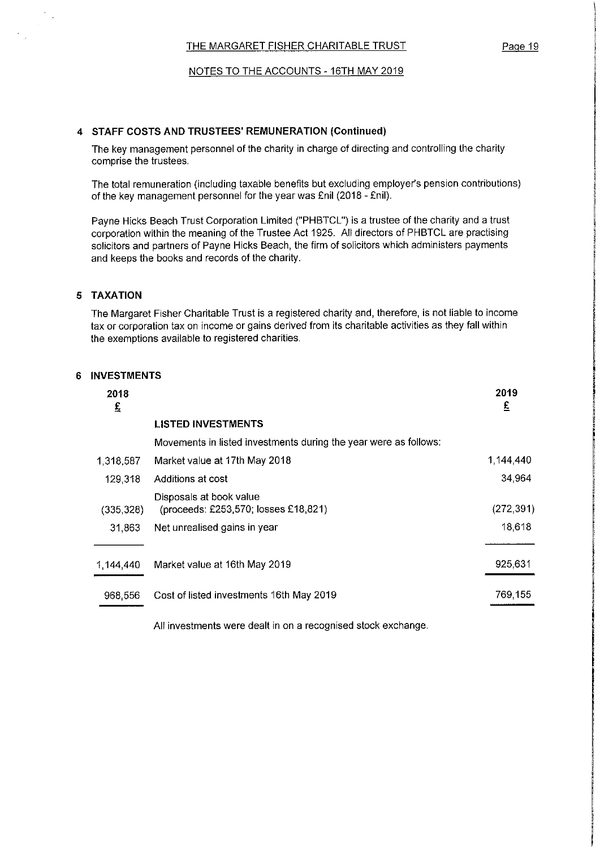# NOTES TO THE ACCOUNTS - 16TH MAY 2019

# 4 STAFF COSTS AND TRUSTEES' REMUNERATION (Continued)

The key management personnel of the charity in charge of directing and controlling the charity comprise the trustees.

The total remuneration (including taxable benefits but excluding employer's pension contributions) of the key management personnel for the year was £nil (2018 - £nil).

Payne Hicks Beach Trust Corporation Limited ("PHBTCL") is a trustee of the charity and a trust corporation within the meaning of the Trustee Act 1925. All directors of PHBTCL are practising solicitors and partners of Payne Hicks Beach, the firm of solicitors which administers payments and keeps the books and records of the charity.

# 5 TAXATION

The Margaret Fisher Charitable Trust is a registered charity and, therefore, is not liable to income tax or corporation tax on income or gains derived from its charitable activities as they fall within the exemptions available to registered charities.

## 6 INVESTMENTS

| 2018<br>£  |                                                                  | 2019<br>£  |
|------------|------------------------------------------------------------------|------------|
|            | LISTED INVESTMENTS                                               |            |
|            | Movements in listed investments during the year were as follows: |            |
| 1,318,587  | Market value at 17th May 2018                                    | 1,144,440  |
| 129,318    | Additions at cost                                                | 34,964     |
| (335, 328) | Disposals at book value<br>(proceeds: £253,570; losses £18,821)  | (272, 391) |
| 31,863     | Net unrealised gains in year                                     | 18,618     |
|            |                                                                  |            |
| 1,144,440  | Market value at 16th May 2019                                    | 925,631    |
| 968,556    | Cost of listed investments 16th May 2019                         | 769,155    |
|            |                                                                  |            |

All investments were dealt in on a recognised stock exchange.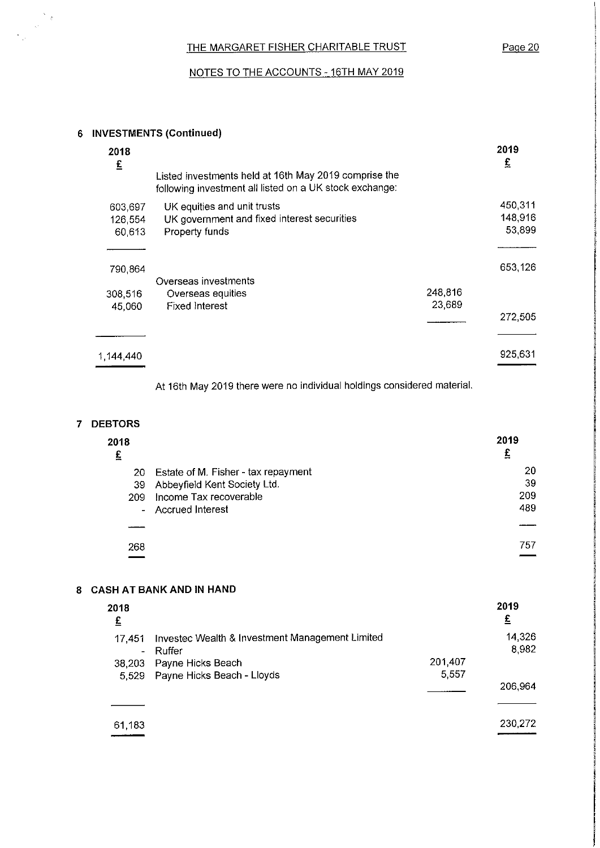# Page 20

# NOTES TO THE ACCOUNTS - 16TH MAY 2019

# 6 INVESTMENTS (Continued)

 $\sim$ 

| 2018                         |                                                                                                                  |         | 2019                         |
|------------------------------|------------------------------------------------------------------------------------------------------------------|---------|------------------------------|
| £                            | Listed investments held at 16th May 2019 comprise the<br>following investment all listed on a UK stock exchange: |         | £                            |
| 603,697<br>126 554<br>60 613 | UK equities and unit trusts<br>UK government and fixed interest securities<br>Property funds                     |         | 450.311<br>148 916<br>53,899 |
| 790,864                      | Overseas investments                                                                                             |         | 653,126                      |
| 308,516                      | Overseas equities                                                                                                | 248,816 |                              |
| 45,060                       | <b>Fixed Interest</b>                                                                                            | 23,689  |                              |
|                              |                                                                                                                  |         | 272,505                      |
| 1,144,440                    |                                                                                                                  |         | 925,631                      |
|                              |                                                                                                                  |         |                              |

At 16th May 2019 there were no individual holdings considered material.

# 7 DEBTORS

| 2018<br>£ |                                        | 2019<br>£ |
|-----------|----------------------------------------|-----------|
|           | 20 Estate of M. Fisher - tax repayment | 20        |
|           | 39 Abbeyfield Kent Society Ltd.        | 39        |
| 209       | Income Tax recoverable                 | 209       |
|           | - Accrued Interest                     | 489       |
|           |                                        |           |
| 268       |                                        | 757       |

# 8 CASH AT BANK AND IN HAND

| 2018<br>$\mathbf{E}$     |                                                 |         | 2019<br>£ |
|--------------------------|-------------------------------------------------|---------|-----------|
| 17.451                   | Investec Wealth & Investment Management Limited |         | 14,326    |
| $\overline{\phantom{0}}$ | Ruffer                                          |         | 8.982     |
| 38,203                   | Payne Hicks Beach                               | 201,407 |           |
| 5.529                    | Payne Hicks Beach - Lloyds                      | 5,557   |           |
|                          |                                                 |         | 206,964   |
|                          |                                                 |         |           |
| 61,183                   |                                                 |         | 230,272   |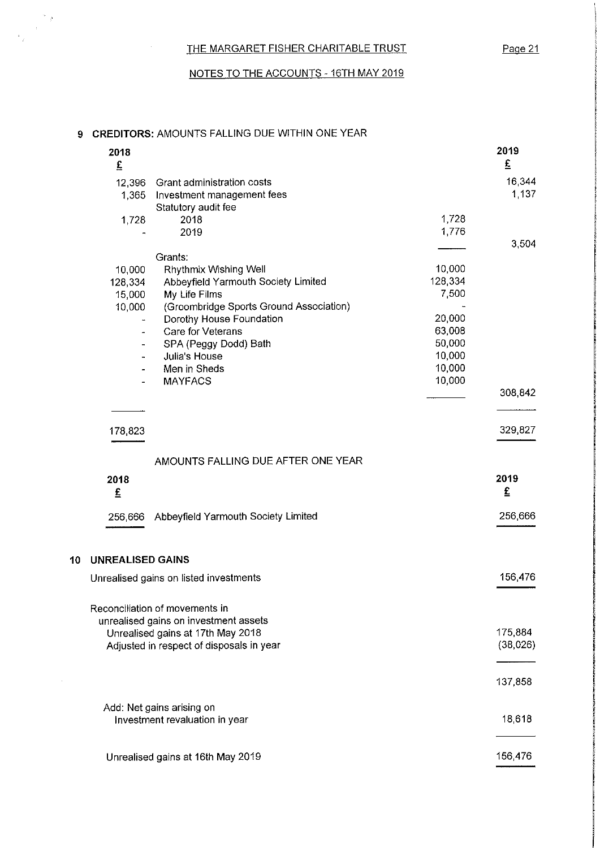NOTES TO THE ACCOUNTS - 16TH MAY 2019

# 9 CREDITORS: AMOUNTS FALLING DUE WITHIN ONE YEAR

 $\frac{d\mathbf{y}}{d\mathbf{y}}=\frac{\mathbf{y}}{d\mathbf{y}}$ 

 $\mathcal{F}_{\frac{1}{2}}$ 

|    | 2018<br>$\mathbf{E}$              |                                                          |                  | 2019<br>£       |
|----|-----------------------------------|----------------------------------------------------------|------------------|-----------------|
|    | 12,396<br>1,365                   | Grant administration costs<br>Investment management fees |                  | 16 344<br>1.137 |
|    |                                   | Statutory audit fee                                      |                  |                 |
|    | 1,728                             | 2018<br>2019                                             | 1,728<br>1,776   |                 |
|    |                                   |                                                          |                  | 3,504           |
|    |                                   | Grants:                                                  |                  |                 |
|    | 10,000                            | Rhythmix Wishing Well                                    | 10,000           |                 |
|    | 128,334                           | Abbeyfield Yarmouth Society Limited                      | 128,334          |                 |
|    | 15,000                            | My Life Films                                            | 7,500            |                 |
|    | 10,000                            | (Groombridge Sports Ground Association)                  |                  |                 |
|    |                                   | Dorothy House Foundation                                 | 20,000           |                 |
|    |                                   | Care for Veterans                                        | 63,008           |                 |
|    |                                   | SPA (Peggy Dodd) Bath<br>Julia's House                   | 50,000<br>10,000 |                 |
|    | -                                 | Men in Sheds                                             | 10,000           |                 |
|    | $\qquad \qquad \blacksquare$<br>÷ | <b>MAYFACS</b>                                           | 10,000           |                 |
|    |                                   |                                                          |                  | 308,842         |
|    |                                   |                                                          |                  |                 |
|    | 178,823                           |                                                          |                  | 329,827         |
|    |                                   | AMOUNTS FALLING DUE AFTER ONE YEAR                       |                  |                 |
|    | 2018                              |                                                          |                  | 2019            |
|    | $\mathbf{E}$                      |                                                          |                  | £               |
|    | 256,666                           | Abbeyfield Yarmouth Society Limited                      |                  | 256,666         |
| 10 | <b>UNREALISED GAINS</b>           |                                                          |                  |                 |
|    |                                   | Unrealised gains on listed investments                   |                  | 156,476         |
|    |                                   |                                                          |                  |                 |
|    |                                   | Reconciliation of movements in                           |                  |                 |
|    |                                   | unrealised gains on investment assets                    |                  |                 |
|    |                                   | Unrealised gains at 17th May 2018                        |                  | 175,884         |
|    |                                   | Adjusted in respect of disposals in year                 |                  | (38,026)        |
|    |                                   |                                                          |                  | 137,858         |
|    |                                   | Add: Net gains arising on                                |                  |                 |
|    |                                   | Investment revaluation in year                           |                  | 18,618          |
|    |                                   | Unrealised gains at 16th May 2019                        |                  | 156,476         |